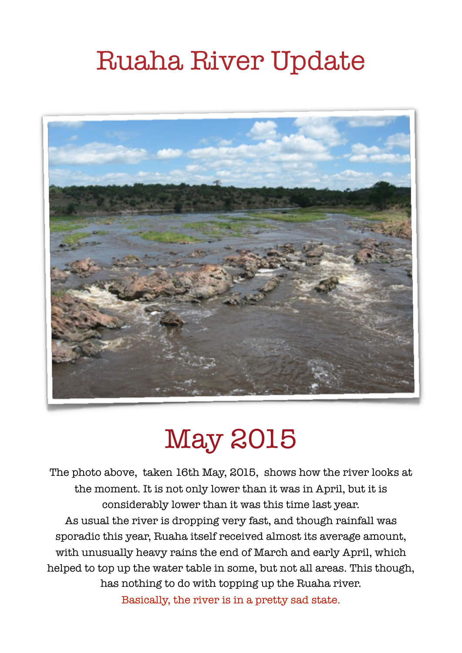# Ruaha River Update



## May 2015

The photo above, taken 16th May, 2015, shows how the river looks at the moment. It is not only lower than it was in April, but it is considerably lower than it was this time last year. As usual the river is dropping very fast, and though rainfall was sporadic this year, Ruaha itself received almost its average amount, with unusually heavy rains the end of March and early April, which helped to top up the water table in some, but not all areas. This though, has nothing to do with topping up the Ruaha river. Basically, the river is in a pretty sad state.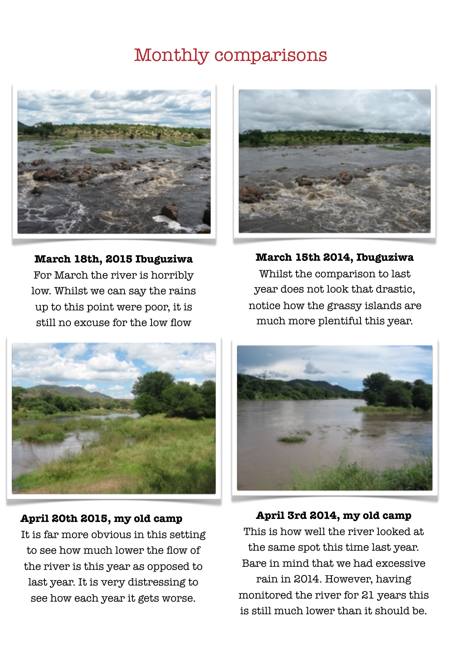### Monthly comparisons



**March 18th, 2015 Ibuguziwa** For March the river is horribly low. Whilst we can say the rains up to this point were poor, it is still no excuse for the low flow



**March 15th 2014, Ibuguziwa**  Whilst the comparison to last year does not look that drastic, notice how the grassy islands are much more plentiful this year.



#### **April 20th 2015, my old camp**

It is far more obvious in this setting to see how much lower the flow of the river is this year as opposed to last year. It is very distressing to see how each year it gets worse.



**April 3rd 2014, my old camp** This is how well the river looked at

the same spot this time last year. Bare in mind that we had excessive rain in 2014. However, having monitored the river for 21 years this is still much lower than it should be.